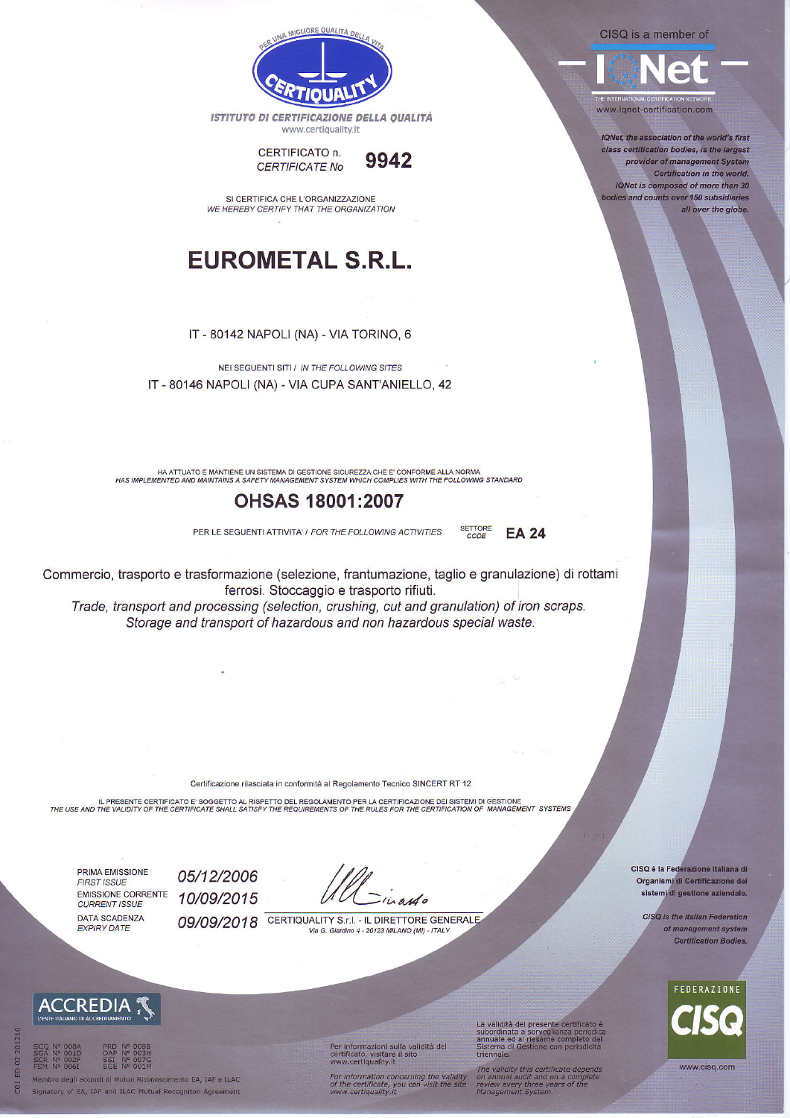CISQ is a member of



www.ignet-certification.com

IQNet, the association of the world's first class certification bodies, is the largest provider of management System Certification in the world IQNet is composed of more than 30 bodies and counts over 150 subsidiaries all over the globe.



ISTITUTO DI CERTIFICAZIONE DELLA QUALITÀ www.certiquality.it



SI CERTIFICA CHE L'ORGANIZZAZIONE WE HEREBY CERTIFY THAT THE ORGANIZATION

## **EUROMETAL S.R.L.**

IT - 80142 NAPOLI (NA) - VIA TORINO, 6

NELSEGUENTLSITLI IN THE FOLLOWING SITES IT - 80146 NAPOLI (NA) - VIA CUPA SANT'ANIELLO, 42

HA ATTUATO E MANTIENE UN SISTEMA DI GESTIONE SICUREZZA CHE E' CONFORME ALLA NORMA HAS IMPLEMENTED AND MAINTAINS A SAFETY MANAGEMENT SYSTEM WHICH COMPLIES WITH THE FOLLOWING STANDARD

## **OHSAS 18001:2007**

PER LE SEGUENTI ATTIVITA' / FOR THE FOLLOWING ACTIVITIES

Commercio, trasporto e trasformazione (selezione, frantumazione, taglio e granulazione) di rottami ferrosi. Stoccaggio e trasporto rifiuti.

**SETTORE** 

CODE

**EA 24** 

Trade, transport and processing (selection, crushing, cut and granulation) of iron scraps. Storage and transport of hazardous and non hazardous special waste.

Certificazione rilasciata in conformità al Regolamento Tecnico SINCERT RT 12

IL PRESENTE CERTIFICATO E' SOGGETTO AL RISPETTO DEL REGOLAMENTO PER LA CERTIFICAZIONE DEI SISTEMI DI GESTIONE<br>THE USE AND THE VALIDITY OF THE CERTIFICATE SHALL SATISFY THE REQUIREMENTS OF THE RULES FOR THE CERTIFICATION OF

PRIMA EMISSIONE **FIRST ISSUE EMISSIONE CORRENTE CURRENT ISSUE** DATA SCADENZA **EXPIRY DATE** 

ACCREDI

05/12/2006

10/09/2015

in and o

09/09/2018 CERTIQUALITY S.r.I. - IL DIRETTORE GENERALE Via G. Giardino 4 - 20123 MILANO (MI) - ITALY

CISQ è la Federazione Italiana di Organismi di Certificazione dei sistemi di gestione aziendale.

> CISQ is the Italian Federation of management system **Certification Bodies.**



www.cisq.com

Membro degli accordi di Mutuo Riconoscimento EA, IAF e ILAC Signatory of EA, IAF and ILAC Mutual Recogniton Agreement Per informazioni sulla validità del<br>certificato, visitare il sito<br>www.certiquality.it

For information concerning the validity<br>of the certificate, you can visit the site<br>www.certiquality.it

La validità del presente certificato è<br>subordinata a sorveglianza periodica<br>annuale ed al riesame completo del<br>Sistema di Gestione con periodicità<br>triennale

The validity this certificate depends<br>on annual audit and on a complete<br>review every three years of the<br>Management System.